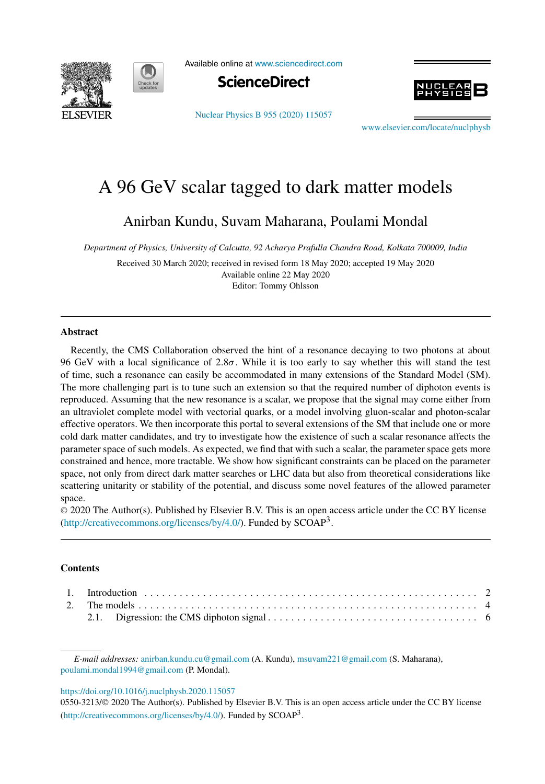

Available online at www.sciencedirect.com



Nuclear Physics B 955 (2020) 115057



www.elsevier.com/locate/nuclphysb

# A 96 GeV scalar tagged to dark matter models

Anirban Kundu, Suvam Maharana, Poulami Mondal

*Department of Physics, University of Calcutta, 92 Acharya Prafulla Chandra Road, Kolkata 700009, India*

Received 30 March 2020; received in revised form 18 May 2020; accepted 19 May 2020 Available online 22 May 2020 Editor: Tommy Ohlsson

### **Abstract**

Recently, the CMS Collaboration observed the hint of a resonance decaying to two photons at about 96 GeV with a local significance of 2.8σ. While it is too early to say whether this will stand the test of time, such a resonance can easily be accommodated in many extensions of the Standard Model (SM). The more challenging part is to tune such an extension so that the required number of diphoton events is reproduced. Assuming that the new resonance is a scalar, we propose that the signal may come either from an ultraviolet complete model with vectorial quarks, or a model involving gluon-scalar and photon-scalar effective operators. We then incorporate this portal to several extensions of the SM that include one or more cold dark matter candidates, and try to investigate how the existence of such a scalar resonance affects the parameter space of such models. As expected, we find that with such a scalar, the parameter space gets more constrained and hence, more tractable. We show how significant constraints can be placed on the parameter space, not only from direct dark matter searches or LHC data but also from theoretical considerations like scattering unitarity or stability of the potential, and discuss some novel features of the allowed parameter space.

 2020 The Author(s). Published by Elsevier B.V. This is an open access article under the CC BY license (http://creativecommons.org/licenses/by/4.0/). Funded by  $SCOAP<sup>3</sup>$ .

## **Contents**

#### https://doi.org/10.1016/j.nuclphysb.2020.115057

0550-3213/© 2020 The Author(s). Published by Elsevier B.V. This is an open access article under the CC BY license (http://creativecommons.org/licenses/by/4.0/). Funded by  $SCOAP<sup>3</sup>$ .

*E-mail addresses:* anirban.kundu.cu@gmail.com (A. Kundu), msuvam221@gmail.com (S. Maharana), poulami.mondal1994@gmail.com (P. Mondal).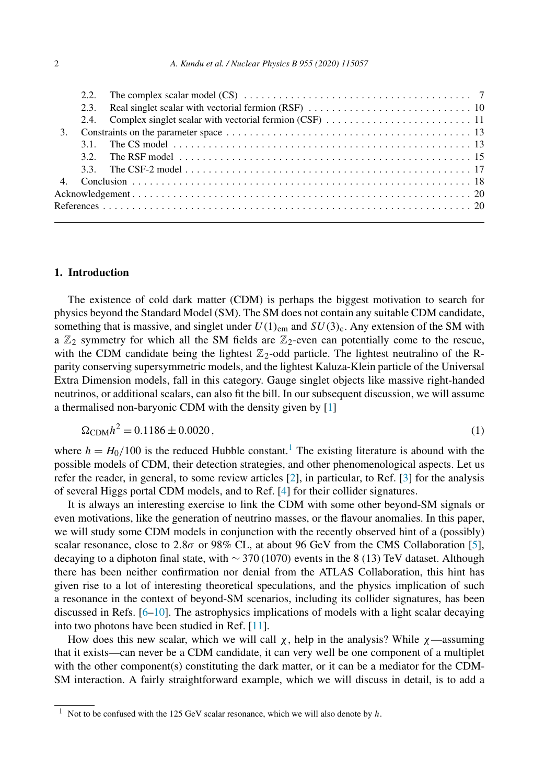|  | 3.1. The CS model $\ldots$ , $\ldots$ , $\ldots$ , $\ldots$ , $\ldots$ , $\ldots$ , $\ldots$ , $\ldots$ , $\ldots$ , $\ldots$ , $\ldots$ , $\ldots$ |  |
|--|-----------------------------------------------------------------------------------------------------------------------------------------------------|--|
|  |                                                                                                                                                     |  |
|  |                                                                                                                                                     |  |
|  |                                                                                                                                                     |  |
|  |                                                                                                                                                     |  |
|  |                                                                                                                                                     |  |
|  |                                                                                                                                                     |  |

## **1. Introduction**

The existence of cold dark matter (CDM) is perhaps the biggest motivation to search for physics beyond the Standard Model (SM). The SM does not contain any suitable CDM candidate, something that is massive, and singlet under  $U(1)_{em}$  and  $SU(3)_{c}$ . Any extension of the SM with a  $\mathbb{Z}_2$  symmetry for which all the SM fields are  $\mathbb{Z}_2$ -even can potentially come to the rescue, with the CDM candidate being the lightest  $\mathbb{Z}_2$ -odd particle. The lightest neutralino of the Rparity conserving supersymmetric models, and the lightest Kaluza-Klein particle of the Universal Extra Dimension models, fall in this category. Gauge singlet objects like massive right-handed neutrinos, or additional scalars, can also fit the bill. In our subsequent discussion, we will assume a thermalised non-baryonic CDM with the density given by [1]

$$
\Omega_{\rm CDM} h^2 = 0.1186 \pm 0.0020\,,\tag{1}
$$

where  $h = H_0/100$  is the reduced Hubble constant.<sup>1</sup> The existing literature is abound with the possible models of CDM, their detection strategies, and other phenomenological aspects. Let us refer the reader, in general, to some review articles [2], in particular, to Ref. [3] for the analysis of several Higgs portal CDM models, and to Ref. [4] for their collider signatures.

It is always an interesting exercise to link the CDM with some other beyond-SM signals or even motivations, like the generation of neutrino masses, or the flavour anomalies. In this paper, we will study some CDM models in conjunction with the recently observed hint of a (possibly) scalar resonance, close to 2.8 $\sigma$  or 98% CL, at about 96 GeV from the CMS Collaboration [5], decaying to a diphoton final state, with ∼ 370 (1070) events in the 8 (13) TeV dataset. Although there has been neither confirmation nor denial from the ATLAS Collaboration, this hint has given rise to a lot of interesting theoretical speculations, and the physics implication of such a resonance in the context of beyond-SM scenarios, including its collider signatures, has been discussed in Refs.  $[6-10]$ . The astrophysics implications of models with a light scalar decaying into two photons have been studied in Ref. [11].

How does this new scalar, which we will call  $\chi$ , help in the analysis? While  $\chi$ —assuming that it exists—can never be a CDM candidate, it can very well be one component of a multiplet with the other component(s) constituting the dark matter, or it can be a mediator for the CDM-SM interaction. A fairly straightforward example, which we will discuss in detail, is to add a

<sup>&</sup>lt;sup>1</sup> Not to be confused with the 125 GeV scalar resonance, which we will also denote by  $h$ .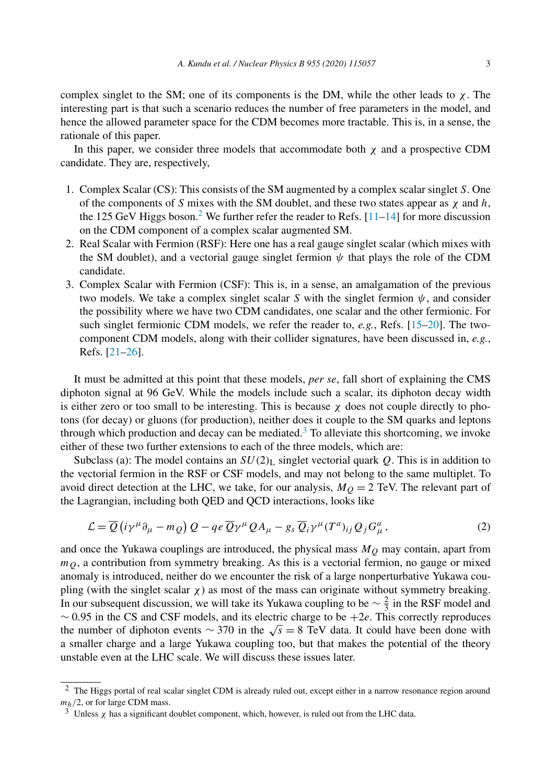complex singlet to the SM; one of its components is the DM, while the other leads to  $\chi$ . The interesting part is that such a scenario reduces the number of free parameters in the model, and hence the allowed parameter space for the CDM becomes more tractable. This is, in a sense, the rationale of this paper.

In this paper, we consider three models that accommodate both  $\chi$  and a prospective CDM candidate. They are, respectively,

- 1. Complex Scalar (CS): This consists of the SM augmented by a complex scalar singlet S. One of the components of S mixes with the SM doublet, and these two states appear as  $\chi$  and h, the 125 GeV Higgs boson.<sup>2</sup> We further refer the reader to Refs.  $[11-14]$  for more discussion on the CDM component of a complex scalar augmented SM.
- 2. Real Scalar with Fermion (RSF): Here one has a real gauge singlet scalar (which mixes with the SM doublet), and a vectorial gauge singlet fermion  $\psi$  that plays the role of the CDM candidate.
- 3. Complex Scalar with Fermion (CSF): This is, in a sense, an amalgamation of the previous two models. We take a complex singlet scalar S with the singlet fermion  $\psi$ , and consider the possibility where we have two CDM candidates, one scalar and the other fermionic. For such singlet fermionic CDM models, we refer the reader to, *e.g.*, Refs. [15–20]. The twocomponent CDM models, along with their collider signatures, have been discussed in, *e.g.*, Refs. [21–26].

It must be admitted at this point that these models, *per se*, fall short of explaining the CMS diphoton signal at 96 GeV. While the models include such a scalar, its diphoton decay width is either zero or too small to be interesting. This is because  $\chi$  does not couple directly to photons (for decay) or gluons (for production), neither does it couple to the SM quarks and leptons through which production and decay can be mediated.<sup>3</sup> To alleviate this shortcoming, we invoke either of these two further extensions to each of the three models, which are:

Subclass (a): The model contains an  $SU(2)_L$  singlet vectorial quark Q. This is in addition to the vectorial fermion in the RSF or CSF models, and may not belong to the same multiplet. To avoid direct detection at the LHC, we take, for our analysis,  $M_Q = 2$  TeV. The relevant part of the Lagrangian, including both QED and QCD interactions, looks like

$$
\mathcal{L} = \overline{Q} \left( i \gamma^{\mu} \partial_{\mu} - m_{Q} \right) Q - q e \, \overline{Q} \gamma^{\mu} Q A_{\mu} - g_{s} \, \overline{Q}_{i} \gamma^{\mu} (T^{a})_{ij} Q_{j} G_{\mu}^{a} \,, \tag{2}
$$

and once the Yukawa couplings are introduced, the physical mass  $M<sub>Q</sub>$  may contain, apart from  $m<sub>O</sub>$ , a contribution from symmetry breaking. As this is a vectorial fermion, no gauge or mixed anomaly is introduced, neither do we encounter the risk of a large nonperturbative Yukawa coupling (with the singlet scalar  $\chi$ ) as most of the mass can originate without symmetry breaking. In our subsequent discussion, we will take its Yukawa coupling to be  $\sim \frac{2}{3}$  in the RSF model and  $\sim$  0.95 in the CS and CSF models, and its electric charge to be  $+2e$ . This correctly reproduces the number of diphoton events  $\sim$  370 in the  $\sqrt{s}$  = 8 TeV data. It could have been done with a smaller charge and a large Yukawa coupling too, but that makes the potential of the theory unstable even at the LHC scale. We will discuss these issues later.

<sup>&</sup>lt;sup>2</sup> The Higgs portal of real scalar singlet CDM is already ruled out, except either in a narrow resonance region around  $m_h/2$ , or for large CDM mass.

<sup>&</sup>lt;sup>3</sup> Unless  $\chi$  has a significant doublet component, which, however, is ruled out from the LHC data.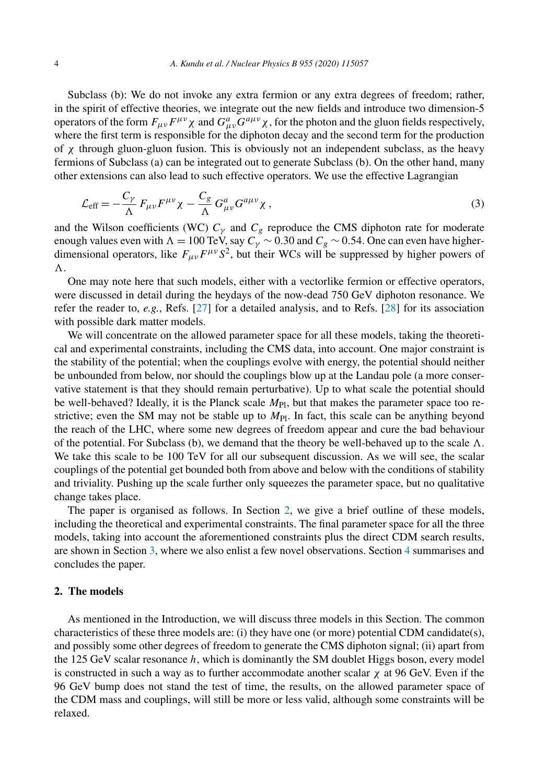Subclass (b): We do not invoke any extra fermion or any extra degrees of freedom; rather, in the spirit of effective theories, we integrate out the new fields and introduce two dimension-5 operators of the form  $F_{\mu\nu}F^{\mu\nu}\chi$  and  $G^a_{\mu\nu}G^{a\mu\nu}\chi$ , for the photon and the gluon fields respectively, where the first term is responsible for the diphoton decay and the second term for the production of  $\chi$  through gluon-gluon fusion. This is obviously not an independent subclass, as the heavy fermions of Subclass (a) can be integrated out to generate Subclass (b). On the other hand, many other extensions can also lead to such effective operators. We use the effective Lagrangian

$$
\mathcal{L}_{\text{eff}} = -\frac{C_{\gamma}}{\Lambda} F_{\mu\nu} F^{\mu\nu} \chi - \frac{C_g}{\Lambda} G^a_{\mu\nu} G^{a\mu\nu} \chi \,, \tag{3}
$$

and the Wilson coefficients (WC)  $C_{\gamma}$  and  $C_{g}$  reproduce the CMS diphoton rate for moderate enough values even with  $\Lambda = 100$  TeV, say  $C_{\gamma} \sim 0.30$  and  $C_g \sim 0.54$ . One can even have higherdimensional operators, like  $F_{\mu\nu}F^{\mu\nu}S^2$ , but their WCs will be suppressed by higher powers of  $\Lambda$ 

One may note here that such models, either with a vectorlike fermion or effective operators, were discussed in detail during the heydays of the now-dead 750 GeV diphoton resonance. We refer the reader to, *e.g.*, Refs. [27] for a detailed analysis, and to Refs. [28] for its association with possible dark matter models.

We will concentrate on the allowed parameter space for all these models, taking the theoretical and experimental constraints, including the CMS data, into account. One major constraint is the stability of the potential; when the couplings evolve with energy, the potential should neither be unbounded from below, nor should the couplings blow up at the Landau pole (a more conservative statement is that they should remain perturbative). Up to what scale the potential should be well-behaved? Ideally, it is the Planck scale  $M_{\text{Pl}}$ , but that makes the parameter space too restrictive; even the SM may not be stable up to  $M_{\text{Pl}}$ . In fact, this scale can be anything beyond the reach of the LHC, where some new degrees of freedom appear and cure the bad behaviour of the potential. For Subclass (b), we demand that the theory be well-behaved up to the scale  $\Lambda$ . We take this scale to be 100 TeV for all our subsequent discussion. As we will see, the scalar couplings of the potential get bounded both from above and below with the conditions of stability and triviality. Pushing up the scale further only squeezes the parameter space, but no qualitative change takes place.

The paper is organised as follows. In Section 2, we give a brief outline of these models, including the theoretical and experimental constraints. The final parameter space for all the three models, taking into account the aforementioned constraints plus the direct CDM search results, are shown in Section 3, where we also enlist a few novel observations. Section 4 summarises and concludes the paper.

## **2. The models**

As mentioned in the Introduction, we will discuss three models in this Section. The common characteristics of these three models are: (i) they have one (or more) potential CDM candidate(s), and possibly some other degrees of freedom to generate the CMS diphoton signal; (ii) apart from the 125 GeV scalar resonance h, which is dominantly the SM doublet Higgs boson, every model is constructed in such a way as to further accommodate another scalar  $\chi$  at 96 GeV. Even if the 96 GeV bump does not stand the test of time, the results, on the allowed parameter space of the CDM mass and couplings, will still be more or less valid, although some constraints will be relaxed.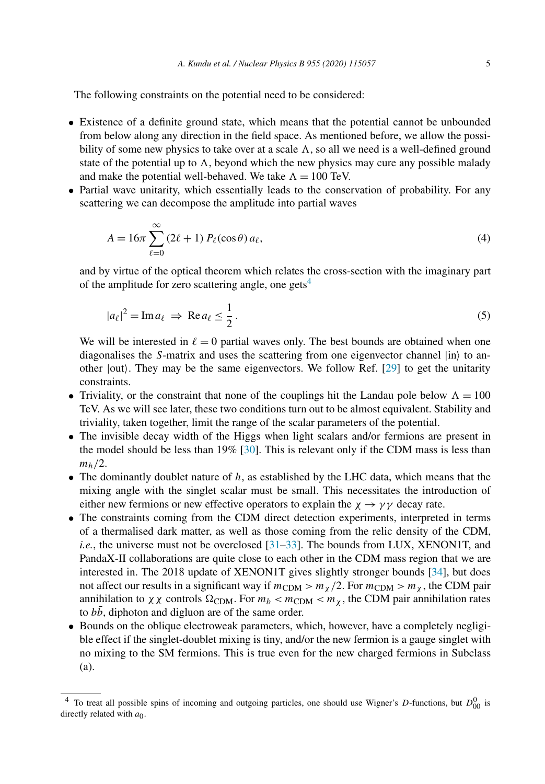The following constraints on the potential need to be considered:

- Existence of a definite ground state, which means that the potential cannot be unbounded from below along any direction in the field space. As mentioned before, we allow the possibility of some new physics to take over at a scale  $\Lambda$ , so all we need is a well-defined ground state of the potential up to  $\Lambda$ , beyond which the new physics may cure any possible malady and make the potential well-behaved. We take  $\Lambda = 100$  TeV.
- Partial wave unitarity, which essentially leads to the conservation of probability. For any scattering we can decompose the amplitude into partial waves

$$
A = 16\pi \sum_{\ell=0}^{\infty} (2\ell+1) P_{\ell}(\cos\theta) a_{\ell}, \qquad (4)
$$

and by virtue of the optical theorem which relates the cross-section with the imaginary part of the amplitude for zero scattering angle, one gets<sup>4</sup>

$$
|a_{\ell}|^2 = \operatorname{Im} a_{\ell} \Rightarrow \operatorname{Re} a_{\ell} \le \frac{1}{2}.
$$
 (5)

We will be interested in  $\ell = 0$  partial waves only. The best bounds are obtained when one diagonalises the S-matrix and uses the scattering from one eigenvector channel  $|in\rangle$  to another  $|out\rangle$ . They may be the same eigenvectors. We follow Ref. [29] to get the unitarity constraints.

- Triviality, or the constraint that none of the couplings hit the Landau pole below  $\Lambda = 100$ TeV. As we will see later, these two conditions turn out to be almost equivalent. Stability and triviality, taken together, limit the range of the scalar parameters of the potential.
- The invisible decay width of the Higgs when light scalars and/or fermions are present in the model should be less than 19% [30]. This is relevant only if the CDM mass is less than  $m_h/2$ .
- The dominantly doublet nature of  $h$ , as established by the LHC data, which means that the mixing angle with the singlet scalar must be small. This necessitates the introduction of either new fermions or new effective operators to explain the  $\chi \rightarrow \gamma \gamma$  decay rate.
- The constraints coming from the CDM direct detection experiments, interpreted in terms of a thermalised dark matter, as well as those coming from the relic density of the CDM, *i.e.*, the universe must not be overclosed [31–33]. The bounds from LUX, XENON1T, and PandaX-II collaborations are quite close to each other in the CDM mass region that we are interested in. The 2018 update of XENON1T gives slightly stronger bounds [34], but does not affect our results in a significant way if  $m_{CDM} > m_{\chi}/2$ . For  $m_{CDM} > m_{\chi}$ , the CDM pair annihilation to  $\chi \chi$  controls  $\Omega_{CDM}$ . For  $m_b < m_{CDM} < m_{\chi}$ , the CDM pair annihilation rates to  $b\bar{b}$ , diphoton and digluon are of the same order.
- Bounds on the oblique electroweak parameters, which, however, have a completely negligible effect if the singlet-doublet mixing is tiny, and/or the new fermion is a gauge singlet with no mixing to the SM fermions. This is true even for the new charged fermions in Subclass (a).

<sup>&</sup>lt;sup>4</sup> To treat all possible spins of incoming and outgoing particles, one should use Wigner's D-functions, but  $D_{00}^0$  is directly related with  $a_0$ .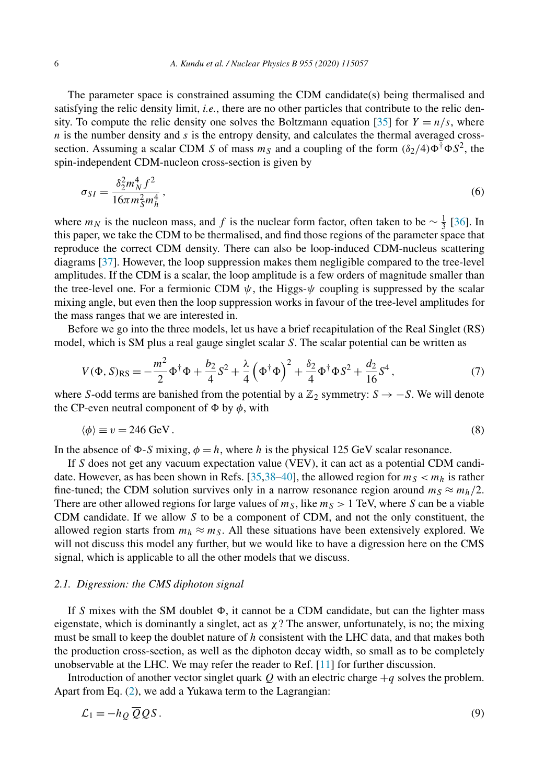The parameter space is constrained assuming the CDM candidate(s) being thermalised and satisfying the relic density limit, *i.e.*, there are no other particles that contribute to the relic density. To compute the relic density one solves the Boltzmann equation [35] for  $Y = n/s$ , where  $n$  is the number density and  $s$  is the entropy density, and calculates the thermal averaged crosssection. Assuming a scalar CDM S of mass  $m_S$  and a coupling of the form  $(\delta_2/4)\Phi^{\dagger}\Phi S^2$ , the spin-independent CDM-nucleon cross-section is given by

$$
\sigma_{SI} = \frac{\delta_2^2 m_N^4 f^2}{16\pi m_S^2 m_h^4},\tag{6}
$$

where  $m_N$  is the nucleon mass, and f is the nuclear form factor, often taken to be  $\sim \frac{1}{3}$  [36]. In this paper, we take the CDM to be thermalised, and find those regions of the parameter space that reproduce the correct CDM density. There can also be loop-induced CDM-nucleus scattering diagrams [37]. However, the loop suppression makes them negligible compared to the tree-level amplitudes. If the CDM is a scalar, the loop amplitude is a few orders of magnitude smaller than the tree-level one. For a fermionic CDM  $\psi$ , the Higgs- $\psi$  coupling is suppressed by the scalar mixing angle, but even then the loop suppression works in favour of the tree-level amplitudes for the mass ranges that we are interested in.

Before we go into the three models, let us have a brief recapitulation of the Real Singlet (RS) model, which is SM plus a real gauge singlet scalar S. The scalar potential can be written as

$$
V(\Phi, S)_{\rm RS} = -\frac{m^2}{2} \Phi^{\dagger} \Phi + \frac{b_2}{4} S^2 + \frac{\lambda}{4} \left( \Phi^{\dagger} \Phi \right)^2 + \frac{\delta_2}{4} \Phi^{\dagger} \Phi S^2 + \frac{d_2}{16} S^4, \tag{7}
$$

where S-odd terms are banished from the potential by a  $\mathbb{Z}_2$  symmetry:  $S \rightarrow -S$ . We will denote the CP-even neutral component of  $\Phi$  by  $\phi$ , with

$$
\langle \phi \rangle \equiv v = 246 \text{ GeV}. \tag{8}
$$

In the absence of  $\Phi$ -S mixing,  $\phi = h$ , where h is the physical 125 GeV scalar resonance.

If S does not get any vacuum expectation value (VEV), it can act as a potential CDM candidate. However, as has been shown in Refs. [35,38–40], the allowed region for  $m_S < m_h$  is rather fine-tuned; the CDM solution survives only in a narrow resonance region around  $m_S \approx m_h/2$ . There are other allowed regions for large values of  $m<sub>S</sub>$ , like  $m<sub>S</sub> > 1$  TeV, where S can be a viable CDM candidate. If we allow  $S$  to be a component of CDM, and not the only constituent, the allowed region starts from  $m_h \approx m_S$ . All these situations have been extensively explored. We will not discuss this model any further, but we would like to have a digression here on the CMS signal, which is applicable to all the other models that we discuss.

#### *2.1. Digression: the CMS diphoton signal*

If S mixes with the SM doublet  $\Phi$ , it cannot be a CDM candidate, but can the lighter mass eigenstate, which is dominantly a singlet, act as  $\chi$ ? The answer, unfortunately, is no; the mixing must be small to keep the doublet nature of  $h$  consistent with the LHC data, and that makes both the production cross-section, as well as the diphoton decay width, so small as to be completely unobservable at the LHC. We may refer the reader to Ref. [11] for further discussion.

Introduction of another vector singlet quark  $Q$  with an electric charge  $+q$  solves the problem. Apart from Eq. (2), we add a Yukawa term to the Lagrangian:

$$
\mathcal{L}_1 = -h_Q \overline{Q} Q S. \tag{9}
$$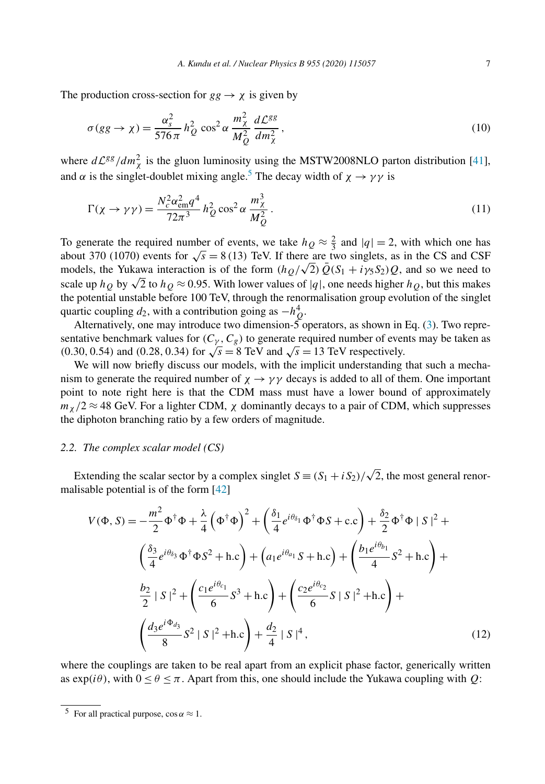The production cross-section for  $gg \to \chi$  is given by

$$
\sigma(gg \to \chi) = \frac{\alpha_s^2}{576\,\pi} h_Q^2 \cos^2 \alpha \frac{m_\chi^2}{M_Q^2} \frac{d\mathcal{L}^{gg}}{dm_\chi^2},\tag{10}
$$

where  $d\mathcal{L}^{gg}/dm_{\chi}^2$  is the gluon luminosity using the MSTW2008NLO parton distribution [41], and  $\alpha$  is the singlet-doublet mixing angle.<sup>5</sup> The decay width of  $\chi \rightarrow \gamma \gamma$  is

$$
\Gamma(\chi \to \gamma \gamma) = \frac{N_c^2 \alpha_{\rm em}^2 q^4}{72\pi^3} h_Q^2 \cos^2 \alpha \frac{m_\chi^3}{M_Q^2}.
$$
\n(11)

To generate the required number of events, we take  $h_Q \approx \frac{2}{3}$  and  $|q| = 2$ , with which one has about 370 (1070) events for  $\sqrt{s} = 8(13)$  TeV. If there are two singlets, as in the CS and CSF models, the Yukawa interaction is of the form  $(h_Q/\sqrt{2})\overline{Q}(S_1 + i\gamma_5 S_2)Q$ , and so we need to scale up  $h_Q$  by  $\sqrt{2}$  to  $h_Q \approx 0.95$ . With lower values of |q|, one needs higher  $h_Q$ , but this makes the potential unstable before 100 TeV, through the renormalisation group evolution of the singlet quartic coupling  $d_2$ , with a contribution going as  $-h_Q^4$ .

Alternatively, one may introduce two dimension- $\breve{\mathcal{S}}$  operators, as shown in Eq. (3). Two representative benchmark values for  $(C_{\gamma}, C_{g})$  to generate required number of events may be taken as (0.30, 0.54) and (0.28, 0.34) for  $\sqrt{s} = 8$  TeV and  $\sqrt{s} = 13$  TeV respectively.

We will now briefly discuss our models, with the implicit understanding that such a mechanism to generate the required number of  $\chi \rightarrow \gamma \gamma$  decays is added to all of them. One important point to note right here is that the CDM mass must have a lower bound of approximately  $m_{\chi}/2 \approx 48$  GeV. For a lighter CDM,  $\chi$  dominantly decays to a pair of CDM, which suppresses the diphoton branching ratio by a few orders of magnitude.

#### *2.2. The complex scalar model (CS)*

Extending the scalar sector by a complex singlet  $S = (S_1 + iS_2)/\sqrt{2}$ , the most general renormalisable potential is of the form [42]

$$
V(\Phi, S) = -\frac{m^2}{2} \Phi^{\dagger} \Phi + \frac{\lambda}{4} (\Phi^{\dagger} \Phi)^2 + (\frac{\delta_1}{4} e^{i\theta_{\delta_1}} \Phi^{\dagger} \Phi S + \text{c.c}) + \frac{\delta_2}{2} \Phi^{\dagger} \Phi |S|^2 +
$$
  

$$
(\frac{\delta_3}{4} e^{i\theta_{\delta_3}} \Phi^{\dagger} \Phi S^2 + \text{h.c}) + (a_1 e^{i\theta_{a_1}} S + \text{h.c}) + (\frac{b_1 e^{i\theta_{b_1}}}{4} S^2 + \text{h.c}) +
$$
  

$$
\frac{b_2}{2} |S|^2 + (\frac{c_1 e^{i\theta_{c_1}}}{6} S^3 + \text{h.c}) + (\frac{c_2 e^{i\theta_{c_2}}}{6} S |S|^2 + \text{h.c}) +
$$
  

$$
(\frac{d_3 e^{i\Phi_{d_3}}}{8} S^2 |S|^2 + \text{h.c}) + \frac{d_2}{4} |S|^4,
$$
 (12)

where the couplings are taken to be real apart from an explicit phase factor, generically written as  $\exp(i\theta)$ , with  $0 \le \theta \le \pi$ . Apart from this, one should include the Yukawa coupling with Q:

<sup>&</sup>lt;sup>5</sup> For all practical purpose,  $\cos \alpha \approx 1$ .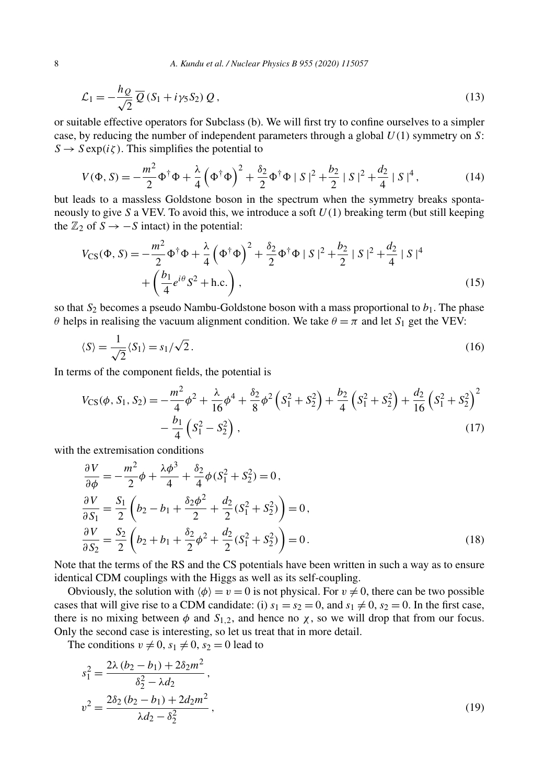$$
\mathcal{L}_1 = -\frac{h_Q}{\sqrt{2}} \overline{Q} \left( S_1 + i \gamma_5 S_2 \right) Q \,, \tag{13}
$$

or suitable effective operators for Subclass (b). We will first try to confine ourselves to a simpler case, by reducing the number of independent parameters through a global  $U(1)$  symmetry on S:  $S \to S \exp(i\zeta)$ . This simplifies the potential to

$$
V(\Phi, S) = -\frac{m^2}{2}\Phi^{\dagger}\Phi + \frac{\lambda}{4}\left(\Phi^{\dagger}\Phi\right)^2 + \frac{\delta_2}{2}\Phi^{\dagger}\Phi \mid S\mid^2 + \frac{b_2}{2}\mid S\mid^2 + \frac{d_2}{4}\mid S\mid^4,
$$
 (14)

but leads to a massless Goldstone boson in the spectrum when the symmetry breaks spontaneously to give S a VEV. To avoid this, we introduce a soft  $U(1)$  breaking term (but still keeping the  $\mathbb{Z}_2$  of  $S \rightarrow -S$  intact) in the potential:

$$
V_{\text{CS}}(\Phi, S) = -\frac{m^2}{2} \Phi^{\dagger} \Phi + \frac{\lambda}{4} \left( \Phi^{\dagger} \Phi \right)^2 + \frac{\delta_2}{2} \Phi^{\dagger} \Phi \mid S \mid^2 + \frac{b_2}{2} \mid S \mid^2 + \frac{d_2}{4} \mid S \mid^4 + \left( \frac{b_1}{4} e^{i\theta} S^2 + \text{h.c.} \right), \tag{15}
$$

so that  $S_2$  becomes a pseudo Nambu-Goldstone boson with a mass proportional to  $b_1$ . The phase θ helps in realising the vacuum alignment condition. We take  $θ = π$  and let  $S_1$  get the VEV:

$$
\langle S \rangle = \frac{1}{\sqrt{2}} \langle S_1 \rangle = s_1 / \sqrt{2} \,. \tag{16}
$$

In terms of the component fields, the potential is

$$
V_{\text{CS}}(\phi, S_1, S_2) = -\frac{m^2}{4}\phi^2 + \frac{\lambda}{16}\phi^4 + \frac{\delta_2}{8}\phi^2 \left(S_1^2 + S_2^2\right) + \frac{b_2}{4}\left(S_1^2 + S_2^2\right) + \frac{d_2}{16}\left(S_1^2 + S_2^2\right)^2 - \frac{b_1}{4}\left(S_1^2 - S_2^2\right),\tag{17}
$$

with the extremisation conditions

$$
\frac{\partial V}{\partial \phi} = -\frac{m^2}{2}\phi + \frac{\lambda \phi^3}{4} + \frac{\delta_2}{4}\phi (S_1^2 + S_2^2) = 0,
$$
  
\n
$$
\frac{\partial V}{\partial S_1} = \frac{S_1}{2} \left( b_2 - b_1 + \frac{\delta_2 \phi^2}{2} + \frac{d_2}{2} (S_1^2 + S_2^2) \right) = 0,
$$
  
\n
$$
\frac{\partial V}{\partial S_2} = \frac{S_2}{2} \left( b_2 + b_1 + \frac{\delta_2}{2} \phi^2 + \frac{d_2}{2} (S_1^2 + S_2^2) \right) = 0.
$$
\n(18)

Note that the terms of the RS and the CS potentials have been written in such a way as to ensure identical CDM couplings with the Higgs as well as its self-coupling.

Obviously, the solution with  $\langle \phi \rangle = v = 0$  is not physical. For  $v \neq 0$ , there can be two possible cases that will give rise to a CDM candidate: (i)  $s_1 = s_2 = 0$ , and  $s_1 \neq 0$ ,  $s_2 = 0$ . In the first case, there is no mixing between  $\phi$  and  $S_{1,2}$ , and hence no  $\chi$ , so we will drop that from our focus. Only the second case is interesting, so let us treat that in more detail.

The conditions  $v \neq 0$ ,  $s_1 \neq 0$ ,  $s_2 = 0$  lead to

$$
s_1^2 = \frac{2\lambda (b_2 - b_1) + 2\delta_2 m^2}{\delta_2^2 - \lambda d_2},
$$
  

$$
v^2 = \frac{2\delta_2 (b_2 - b_1) + 2d_2 m^2}{\lambda d_2 - \delta_2^2},
$$
 (19)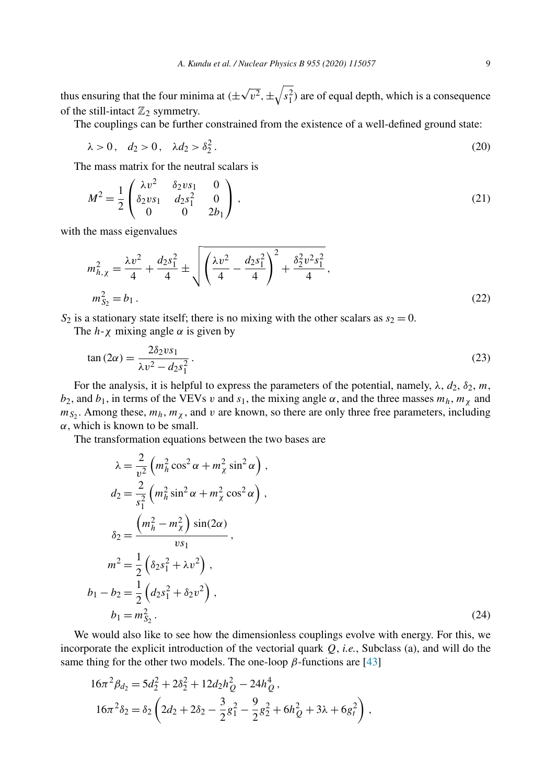thus ensuring that the four minima at  $(\pm \sqrt{v^2}, \pm \sqrt{s_1^2})$  are of equal depth, which is a consequence of the still-intact  $\mathbb{Z}_2$  symmetry.

The couplings can be further constrained from the existence of a well-defined ground state:

$$
\lambda > 0, \quad d_2 > 0, \quad \lambda d_2 > \delta_2^2. \tag{20}
$$

The mass matrix for the neutral scalars is

$$
M^{2} = \frac{1}{2} \begin{pmatrix} \lambda v^{2} & \delta_{2} v s_{1} & 0 \\ \delta_{2} v s_{1} & d_{2} s_{1}^{2} & 0 \\ 0 & 0 & 2 b_{1} \end{pmatrix},
$$
(21)

with the mass eigenvalues

$$
m_{h,\chi}^2 = \frac{\lambda v^2}{4} + \frac{d_2 s_1^2}{4} \pm \sqrt{\left(\frac{\lambda v^2}{4} - \frac{d_2 s_1^2}{4}\right)^2 + \frac{\delta_2^2 v^2 s_1^2}{4}},
$$
  

$$
m_{S_2}^2 = b_1.
$$
 (22)

 $S_2$  is a stationary state itself; there is no mixing with the other scalars as  $s_2 = 0$ .

The  $h - \chi$  mixing angle  $\alpha$  is given by

$$
\tan(2\alpha) = \frac{2\delta_2 vs_1}{\lambda v^2 - d_2 s_1^2} \,. \tag{23}
$$

For the analysis, it is helpful to express the parameters of the potential, namely,  $\lambda$ ,  $d_2$ ,  $\delta_2$ , m,  $b_2$ , and  $b_1$ , in terms of the VEVs v and  $s_1$ , the mixing angle  $\alpha$ , and the three masses  $m_h$ ,  $m_\chi$  and  $m_{S_2}$ . Among these,  $m_h$ ,  $m_{\chi}$ , and v are known, so there are only three free parameters, including  $\alpha$ , which is known to be small.

The transformation equations between the two bases are

$$
\lambda = \frac{2}{v^2} \left( m_h^2 \cos^2 \alpha + m_\chi^2 \sin^2 \alpha \right),
$$
  
\n
$$
d_2 = \frac{2}{s_1^2} \left( m_h^2 \sin^2 \alpha + m_\chi^2 \cos^2 \alpha \right),
$$
  
\n
$$
\delta_2 = \frac{\left( m_h^2 - m_\chi^2 \right) \sin(2\alpha)}{vs_1},
$$
  
\n
$$
m^2 = \frac{1}{2} \left( \delta_2 s_1^2 + \lambda v^2 \right),
$$
  
\n
$$
b_1 - b_2 = \frac{1}{2} \left( d_2 s_1^2 + \delta_2 v^2 \right),
$$
  
\n
$$
b_1 = m_{S_2}^2.
$$
\n(24)

We would also like to see how the dimensionless couplings evolve with energy. For this, we incorporate the explicit introduction of the vectorial quark Q, *i.e.*, Subclass (a), and will do the same thing for the other two models. The one-loop  $\beta$ -functions are [43]

$$
16\pi^2 \beta_{d_2} = 5d_2^2 + 2\delta_2^2 + 12d_2h_Q^2 - 24h_Q^4,
$$
  
\n
$$
16\pi^2 \delta_2 = \delta_2 \left(2d_2 + 2\delta_2 - \frac{3}{2}g_1^2 - \frac{9}{2}g_2^2 + 6h_Q^2 + 3\lambda + 6g_t^2\right),
$$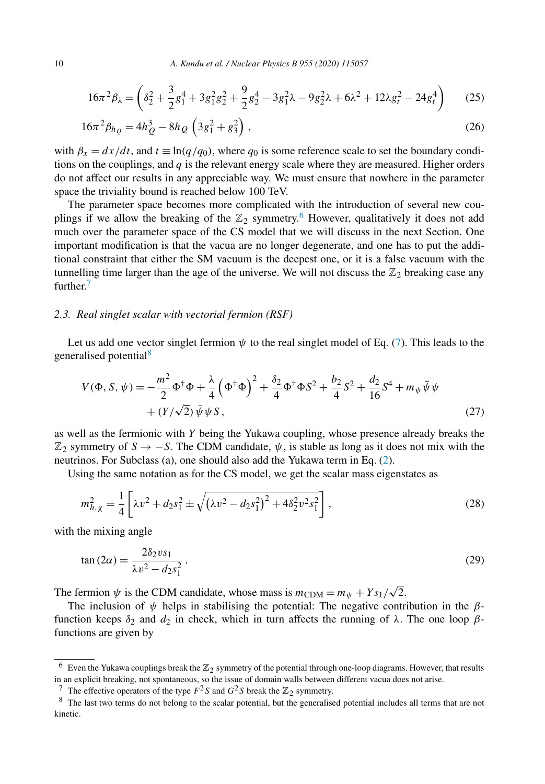$$
16\pi^2 \beta_\lambda = \left(\delta_2^2 + \frac{3}{2}g_1^4 + 3g_1^2g_2^2 + \frac{9}{2}g_2^4 - 3g_1^2\lambda - 9g_2^2\lambda + 6\lambda^2 + 12\lambda g_t^2 - 24g_t^4\right) \tag{25}
$$

$$
16\pi^2 \beta_{h_Q} = 4h_Q^3 - 8h_Q \left(3g_1^2 + g_3^2\right),\tag{26}
$$

with  $\beta_x = dx/dt$ , and  $t \equiv \ln(q/q_0)$ , where  $q_0$  is some reference scale to set the boundary conditions on the couplings, and  $q$  is the relevant energy scale where they are measured. Higher orders do not affect our results in any appreciable way. We must ensure that nowhere in the parameter space the triviality bound is reached below 100 TeV.

The parameter space becomes more complicated with the introduction of several new couplings if we allow the breaking of the  $\mathbb{Z}_2$  symmetry.<sup>6</sup> However, qualitatively it does not add much over the parameter space of the CS model that we will discuss in the next Section. One important modification is that the vacua are no longer degenerate, and one has to put the additional constraint that either the SM vacuum is the deepest one, or it is a false vacuum with the tunnelling time larger than the age of the universe. We will not discuss the  $\mathbb{Z}_2$  breaking case any further<sup>7</sup>

### *2.3. Real singlet scalar with vectorial fermion (RSF)*

Let us add one vector singlet fermion  $\psi$  to the real singlet model of Eq. (7). This leads to the generalised potential<sup>8</sup>

$$
V(\Phi, S, \psi) = -\frac{m^2}{2} \Phi^{\dagger} \Phi + \frac{\lambda}{4} (\Phi^{\dagger} \Phi)^2 + \frac{\delta_2}{4} \Phi^{\dagger} \Phi S^2 + \frac{b_2}{4} S^2 + \frac{d_2}{16} S^4 + m_{\psi} \bar{\psi} \psi + (Y/\sqrt{2}) \bar{\psi} \psi S,
$$
\n(27)

as well as the fermionic with Y being the Yukawa coupling, whose presence already breaks the  $\mathbb{Z}_2$  symmetry of  $S \to -S$ . The CDM candidate,  $\psi$ , is stable as long as it does not mix with the neutrinos. For Subclass (a), one should also add the Yukawa term in Eq. (2).

Using the same notation as for the CS model, we get the scalar mass eigenstates as

$$
m_{h,\chi}^2 = \frac{1}{4} \left[ \lambda v^2 + d_2 s_1^2 \pm \sqrt{(\lambda v^2 - d_2 s_1^2)^2 + 4 \delta_2^2 v^2 s_1^2} \right],
$$
\n(28)

with the mixing angle

$$
\tan(2\alpha) = \frac{2\delta_2 vs_1}{\lambda v^2 - d_2 s_1^2} \,. \tag{29}
$$

The fermion  $\psi$  is the CDM candidate, whose mass is  $m_{\text{CDM}} = m_{\psi} + Y s_1 / \sqrt{2}$ .

The inclusion of  $\psi$  helps in stabilising the potential: The negative contribution in the  $\beta$ function keeps  $\delta_2$  and  $d_2$  in check, which in turn affects the running of  $\lambda$ . The one loop  $\beta$ functions are given by

<sup>7</sup> The effective operators of the type  $F^2S$  and  $G^2S$  break the  $\mathbb{Z}_2$  symmetry.

 $6$  Even the Yukawa couplings break the  $\mathbb{Z}_2$  symmetry of the potential through one-loop diagrams. However, that results in an explicit breaking, not spontaneous, so the issue of domain walls between different vacua does not arise.

<sup>&</sup>lt;sup>8</sup> The last two terms do not belong to the scalar potential, but the generalised potential includes all terms that are not kinetic.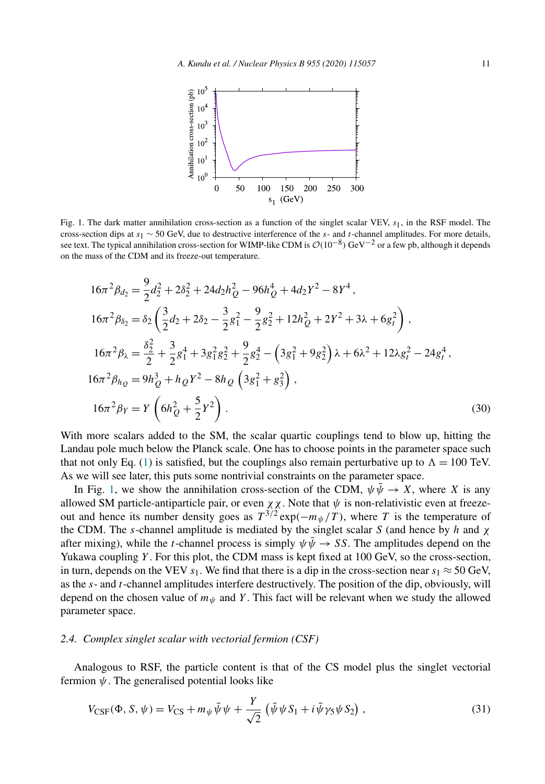

Fig. 1. The dark matter annihilation cross-section as a function of the singlet scalar VEV,  $s_1$ , in the RSF model. The cross-section dips at s<sub>1</sub> ∼ 50 GeV, due to destructive interference of the s- and t-channel amplitudes. For more details, see text. The typical annihilation cross-section for WIMP-like CDM is  $\mathcal{O}(10^{-8})$  GeV $^{-2}$  or a few pb, although it depends on the mass of the CDM and its freeze-out temperature.

$$
16\pi^2 \beta_{d_2} = \frac{9}{2} d_2^2 + 2\delta_2^2 + 24 d_2 h_Q^2 - 96 h_Q^4 + 4 d_2 Y^2 - 8Y^4,
$$
  
\n
$$
16\pi^2 \beta_{\delta_2} = \delta_2 \left( \frac{3}{2} d_2 + 2\delta_2 - \frac{3}{2} g_1^2 - \frac{9}{2} g_2^2 + 12 h_Q^2 + 2Y^2 + 3\lambda + 6 g_t^2 \right),
$$
  
\n
$$
16\pi^2 \beta_\lambda = \frac{\delta_2^2}{2} + \frac{3}{2} g_1^4 + 3 g_1^2 g_2^2 + \frac{9}{2} g_2^4 - \left( 3 g_1^2 + 9 g_2^2 \right) \lambda + 6\lambda^2 + 12 \lambda g_t^2 - 24 g_t^4,
$$
  
\n
$$
16\pi^2 \beta_{h_Q} = 9 h_Q^3 + h_Q Y^2 - 8 h_Q \left( 3 g_1^2 + g_3^2 \right),
$$
  
\n
$$
16\pi^2 \beta_Y = Y \left( 6 h_Q^2 + \frac{5}{2} Y^2 \right).
$$
 (30)

With more scalars added to the SM, the scalar quartic couplings tend to blow up, hitting the Landau pole much below the Planck scale. One has to choose points in the parameter space such that not only Eq. (1) is satisfied, but the couplings also remain perturbative up to  $\Lambda = 100$  TeV. As we will see later, this puts some nontrivial constraints on the parameter space.

In Fig. 1, we show the annihilation cross-section of the CDM,  $\psi \overline{\psi} \rightarrow X$ , where X is any allowed SM particle-antiparticle pair, or even  $\chi \chi$ . Note that  $\psi$  is non-relativistic even at freezeout and hence its number density goes as  $T^{3/2} \exp(-m_{\psi}/T)$ , where T is the temperature of the CDM. The s-channel amplitude is mediated by the singlet scalar S (and hence by h and  $\chi$ ) after mixing), while the t-channel process is simply  $\psi \bar{\psi} \rightarrow SS$ . The amplitudes depend on the Yukawa coupling  $Y$ . For this plot, the CDM mass is kept fixed at 100 GeV, so the cross-section, in turn, depends on the VEV  $s_1$ . We find that there is a dip in the cross-section near  $s_1 \approx 50$  GeV, as the  $s$ - and  $t$ -channel amplitudes interfere destructively. The position of the dip, obviously, will depend on the chosen value of  $m_{\psi}$  and Y. This fact will be relevant when we study the allowed parameter space.

#### *2.4. Complex singlet scalar with vectorial fermion (CSF)*

Analogous to RSF, the particle content is that of the CS model plus the singlet vectorial fermion  $\psi$ . The generalised potential looks like

$$
V_{\text{CSF}}(\Phi, S, \psi) = V_{\text{CS}} + m_{\psi} \bar{\psi} \psi + \frac{Y}{\sqrt{2}} \left( \bar{\psi} \psi S_1 + i \bar{\psi} \gamma_5 \psi S_2 \right), \tag{31}
$$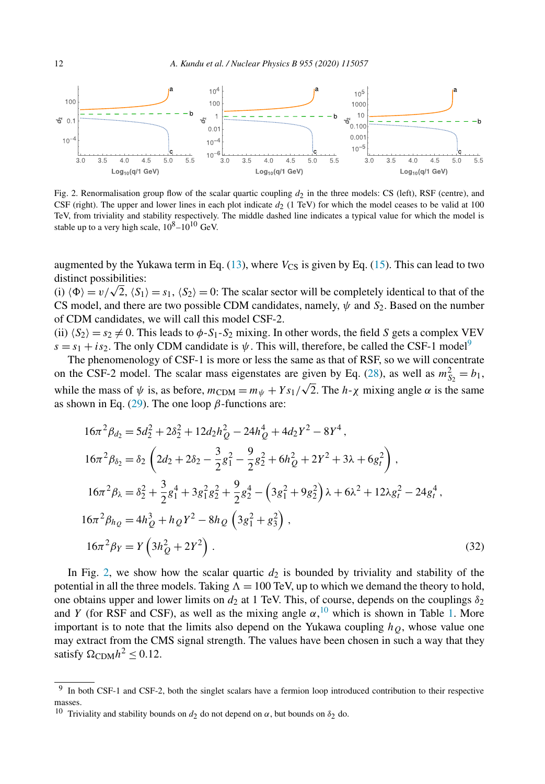

Fig. 2. Renormalisation group flow of the scalar quartic coupling  $d_2$  in the three models: CS (left), RSF (centre), and CSF (right). The upper and lower lines in each plot indicate  $d_2$  (1 TeV) for which the model ceases to be valid at 100 TeV, from triviality and stability respectively. The middle dashed line indicates a typical value for which the model is stable up to a very high scale,  $10^8 - 10^{10}$  GeV.

augmented by the Yukawa term in Eq. (13), where  $V_{\text{CS}}$  is given by Eq. (15). This can lead to two distinct possibilities:

(i)  $\langle \Phi \rangle = v/\sqrt{2}$ ,  $\langle S_1 \rangle = s_1$ ,  $\langle S_2 \rangle = 0$ : The scalar sector will be completely identical to that of the CS model, and there are two possible CDM candidates, namely,  $\psi$  and  $S_2$ . Based on the number of CDM candidates, we will call this model CSF-2.

(ii)  $\langle S_2 \rangle = s_2 \neq 0$ . This leads to  $\phi$ -S<sub>1</sub>-S<sub>2</sub> mixing. In other words, the field S gets a complex VEV  $s = s_1 + is_2$ . The only CDM candidate is  $\psi$ . This will, therefore, be called the CSF-1 model<sup>9</sup>

The phenomenology of CSF-1 is more or less the same as that of RSF, so we will concentrate on the CSF-2 model. The scalar mass eigenstates are given by Eq. (28), as well as  $m_{S_2}^2 = b_1$ , while the mass of  $\psi$  is, as before,  $m_{CDM} = m_{\psi} + Ys_1/\sqrt{2}$ . The  $h - \chi$  mixing angle  $\alpha$  is the same as shown in Eq. (29). The one loop  $\beta$ -functions are:

$$
16\pi^2 \beta_{d_2} = 5d_2^2 + 2\delta_2^2 + 12d_2h_Q^2 - 24h_Q^4 + 4d_2Y^2 - 8Y^4,
$$
  
\n
$$
16\pi^2 \beta_{\delta_2} = \delta_2 \left(2d_2 + 2\delta_2 - \frac{3}{2}g_1^2 - \frac{9}{2}g_2^2 + 6h_Q^2 + 2Y^2 + 3\lambda + 6g_t^2\right),
$$
  
\n
$$
16\pi^2 \beta_{\lambda} = \delta_2^2 + \frac{3}{2}g_1^4 + 3g_1^2g_2^2 + \frac{9}{2}g_2^4 - \left(3g_1^2 + 9g_2^2\right)\lambda + 6\lambda^2 + 12\lambda g_t^2 - 24g_t^4,
$$
  
\n
$$
16\pi^2 \beta_{h_Q} = 4h_Q^3 + h_QY^2 - 8h_Q \left(3g_1^2 + g_3^2\right),
$$
  
\n
$$
16\pi^2 \beta_Y = Y \left(3h_Q^2 + 2Y^2\right).
$$
 (32)

In Fig. 2, we show how the scalar quartic  $d_2$  is bounded by triviality and stability of the potential in all the three models. Taking  $\Lambda = 100$  TeV, up to which we demand the theory to hold, one obtains upper and lower limits on  $d_2$  at 1 TeV. This, of course, depends on the couplings  $\delta_2$ and Y (for RSF and CSF), as well as the mixing angle  $\alpha$ ,  $^{10}$  which is shown in Table 1. More important is to note that the limits also depend on the Yukawa coupling  $h<sub>O</sub>$ , whose value one may extract from the CMS signal strength. The values have been chosen in such a way that they satisfy  $\Omega_{\rm CDM} h^2 \leq 0.12$ .

<sup>9</sup> In both CSF-1 and CSF-2, both the singlet scalars have a fermion loop introduced contribution to their respective masses.

<sup>&</sup>lt;sup>10</sup> Triviality and stability bounds on  $d_2$  do not depend on  $\alpha$ , but bounds on  $\delta_2$  do.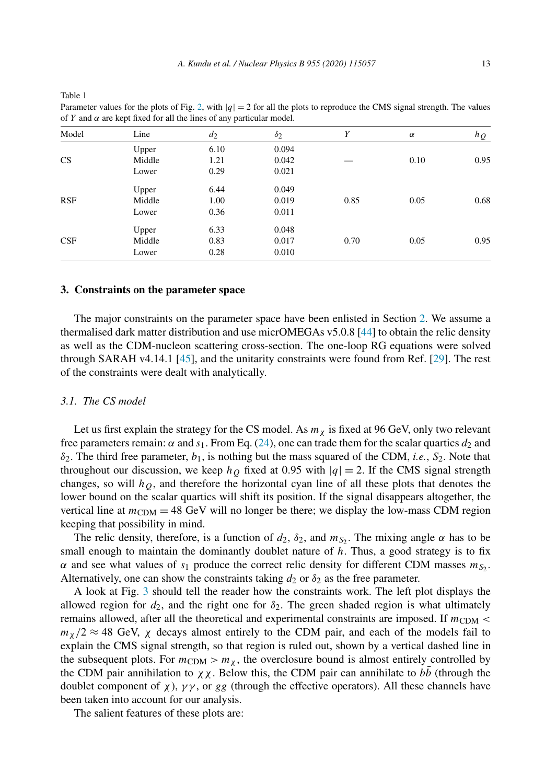| Model      | Line   | $d_2$ | $\delta_2$ | Y    | $\alpha$ | $h_{Q}$ |
|------------|--------|-------|------------|------|----------|---------|
|            | Upper  | 6.10  | 0.094      |      |          |         |
| CS         | Middle | 1.21  | 0.042      |      | 0.10     | 0.95    |
|            | Lower  | 0.29  | 0.021      |      |          |         |
|            | Upper  | 6.44  | 0.049      |      |          |         |
| <b>RSF</b> | Middle | 1.00  | 0.019      | 0.85 | 0.05     | 0.68    |
|            | Lower  | 0.36  | 0.011      |      |          |         |
|            | Upper  | 6.33  | 0.048      |      |          |         |
| CSF        | Middle | 0.83  | 0.017      | 0.70 | 0.05     | 0.95    |
|            | Lower  | 0.28  | 0.010      |      |          |         |

Parameter values for the plots of Fig. 2, with  $|q| = 2$  for all the plots to reproduce the CMS signal strength. The values of Y and  $\alpha$  are kept fixed for all the lines of any particular model.

### **3. Constraints on the parameter space**

The major constraints on the parameter space have been enlisted in Section 2. We assume a thermalised dark matter distribution and use micrOMEGAs v5.0.8 [44] to obtain the relic density as well as the CDM-nucleon scattering cross-section. The one-loop RG equations were solved through SARAH v4.14.1 [45], and the unitarity constraints were found from Ref. [29]. The rest of the constraints were dealt with analytically.

## *3.1. The CS model*

Table 1

Let us first explain the strategy for the CS model. As  $m<sub>\chi</sub>$  is fixed at 96 GeV, only two relevant free parameters remain:  $\alpha$  and  $s_1$ . From Eq. (24), one can trade them for the scalar quartics  $d_2$  and  $\delta_2$ . The third free parameter,  $b_1$ , is nothing but the mass squared of the CDM, *i.e.*, S<sub>2</sub>. Note that throughout our discussion, we keep  $h<sub>O</sub>$  fixed at 0.95 with  $|q| = 2$ . If the CMS signal strength changes, so will  $h<sub>O</sub>$ , and therefore the horizontal cyan line of all these plots that denotes the lower bound on the scalar quartics will shift its position. If the signal disappears altogether, the vertical line at  $m_{CDM} = 48$  GeV will no longer be there; we display the low-mass CDM region keeping that possibility in mind.

The relic density, therefore, is a function of  $d_2$ ,  $\delta_2$ , and  $m_{S_2}$ . The mixing angle  $\alpha$  has to be small enough to maintain the dominantly doublet nature of  $h$ . Thus, a good strategy is to fix  $\alpha$  and see what values of  $s_1$  produce the correct relic density for different CDM masses  $m_{S_2}$ . Alternatively, one can show the constraints taking  $d_2$  or  $\delta_2$  as the free parameter.

A look at Fig. 3 should tell the reader how the constraints work. The left plot displays the allowed region for  $d_2$ , and the right one for  $\delta_2$ . The green shaded region is what ultimately remains allowed, after all the theoretical and experimental constraints are imposed. If  $m_{CDM}$  <  $m_\chi/2 \approx 48$  GeV,  $\chi$  decays almost entirely to the CDM pair, and each of the models fail to explain the CMS signal strength, so that region is ruled out, shown by a vertical dashed line in the subsequent plots. For  $m_{CDM} > m_{\chi}$ , the overclosure bound is almost entirely controlled by the CDM pair annihilation to  $\chi \chi$ . Below this, the CDM pair can annihilate to bb (through the doublet component of  $\chi$ ),  $\gamma\gamma$ , or gg (through the effective operators). All these channels have been taken into account for our analysis.

The salient features of these plots are: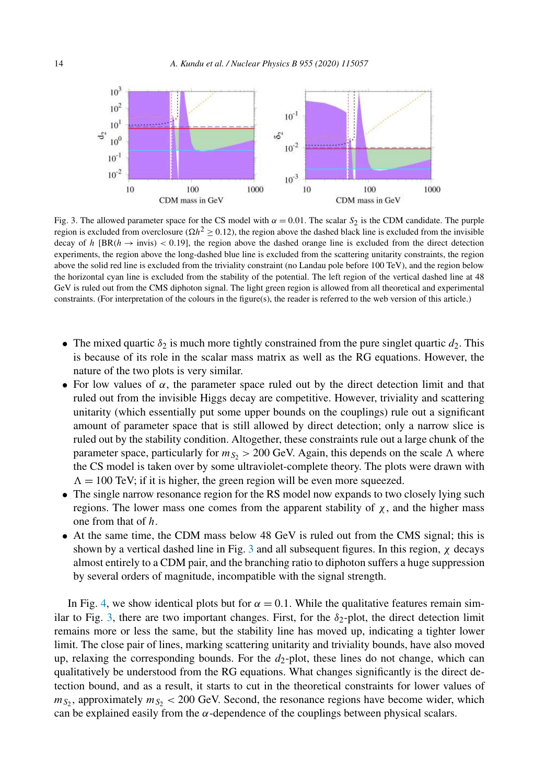

Fig. 3. The allowed parameter space for the CS model with  $\alpha = 0.01$ . The scalar S<sub>2</sub> is the CDM candidate. The purple region is excluded from overclosure ( $\Omega h^2 \ge 0.12$ ), the region above the dashed black line is excluded from the invisible decay of h [BR( $h \rightarrow$  invis) < 0.19], the region above the dashed orange line is excluded from the direct detection experiments, the region above the long-dashed blue line is excluded from the scattering unitarity constraints, the region above the solid red line is excluded from the triviality constraint (no Landau pole before 100 TeV), and the region below the horizontal cyan line is excluded from the stability of the potential. The left region of the vertical dashed line at 48 GeV is ruled out from the CMS diphoton signal. The light green region is allowed from all theoretical and experimental constraints. (For interpretation of the colours in the figure(s), the reader is referred to the web version of this article.)

- The mixed quartic  $\delta_2$  is much more tightly constrained from the pure singlet quartic  $d_2$ . This is because of its role in the scalar mass matrix as well as the RG equations. However, the nature of the two plots is very similar.
- For low values of  $\alpha$ , the parameter space ruled out by the direct detection limit and that ruled out from the invisible Higgs decay are competitive. However, triviality and scattering unitarity (which essentially put some upper bounds on the couplings) rule out a significant amount of parameter space that is still allowed by direct detection; only a narrow slice is ruled out by the stability condition. Altogether, these constraints rule out a large chunk of the parameter space, particularly for  $m_{S<sub>2</sub>} > 200$  GeV. Again, this depends on the scale  $\Lambda$  where the CS model is taken over by some ultraviolet-complete theory. The plots were drawn with  $\Lambda = 100$  TeV; if it is higher, the green region will be even more squeezed.
- The single narrow resonance region for the RS model now expands to two closely lying such regions. The lower mass one comes from the apparent stability of  $\chi$ , and the higher mass one from that of h.
- At the same time, the CDM mass below 48 GeV is ruled out from the CMS signal; this is shown by a vertical dashed line in Fig. 3 and all subsequent figures. In this region,  $\chi$  decays almost entirely to a CDM pair, and the branching ratio to diphoton suffers a huge suppression by several orders of magnitude, incompatible with the signal strength.

In Fig. 4, we show identical plots but for  $\alpha = 0.1$ . While the qualitative features remain similar to Fig. 3, there are two important changes. First, for the  $\delta_2$ -plot, the direct detection limit remains more or less the same, but the stability line has moved up, indicating a tighter lower limit. The close pair of lines, marking scattering unitarity and triviality bounds, have also moved up, relaxing the corresponding bounds. For the  $d_2$ -plot, these lines do not change, which can qualitatively be understood from the RG equations. What changes significantly is the direct detection bound, and as a result, it starts to cut in the theoretical constraints for lower values of  $m_{S_2}$ , approximately  $m_{S_2}$  < 200 GeV. Second, the resonance regions have become wider, which can be explained easily from the  $\alpha$ -dependence of the couplings between physical scalars.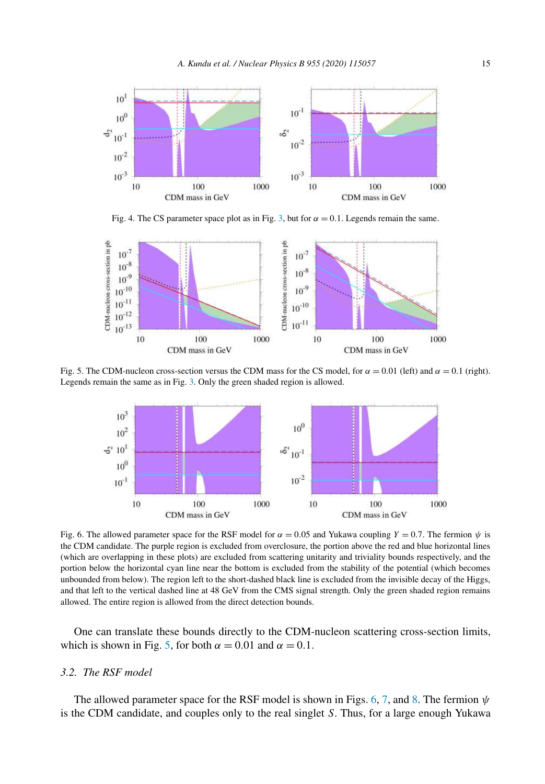

Fig. 4. The CS parameter space plot as in Fig. 3, but for  $\alpha = 0.1$ . Legends remain the same.



Fig. 5. The CDM-nucleon cross-section versus the CDM mass for the CS model, for  $\alpha = 0.01$  (left) and  $\alpha = 0.1$  (right). Legends remain the same as in Fig. 3. Only the green shaded region is allowed.



Fig. 6. The allowed parameter space for the RSF model for  $\alpha = 0.05$  and Yukawa coupling  $Y = 0.7$ . The fermion  $\psi$  is the CDM candidate. The purple region is excluded from overclosure, the portion above the red and blue horizontal lines (which are overlapping in these plots) are excluded from scattering unitarity and triviality bounds respectively, and the portion below the horizontal cyan line near the bottom is excluded from the stability of the potential (which becomes unbounded from below). The region left to the short-dashed black line is excluded from the invisible decay of the Higgs, and that left to the vertical dashed line at 48 GeV from the CMS signal strength. Only the green shaded region remains allowed. The entire region is allowed from the direct detection bounds.

One can translate these bounds directly to the CDM-nucleon scattering cross-section limits, which is shown in Fig. 5, for both  $\alpha = 0.01$  and  $\alpha = 0.1$ .

### *3.2. The RSF model*

The allowed parameter space for the RSF model is shown in Figs. 6, 7, and 8. The fermion  $\psi$ is the CDM candidate, and couples only to the real singlet S. Thus, for a large enough Yukawa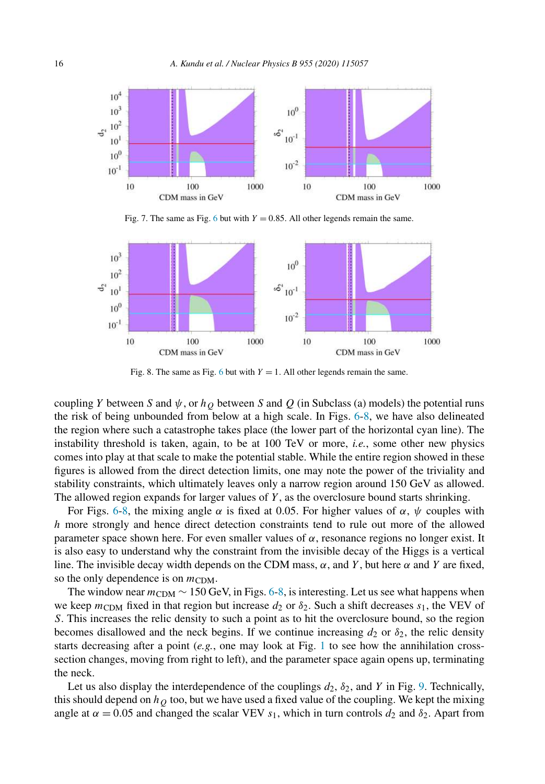

Fig. 7. The same as Fig. 6 but with  $Y = 0.85$ . All other legends remain the same.



Fig. 8. The same as Fig. 6 but with  $Y = 1$ . All other legends remain the same.

coupling Y between S and  $\psi$ , or  $h<sub>O</sub>$  between S and Q (in Subclass (a) models) the potential runs the risk of being unbounded from below at a high scale. In Figs. 6-8, we have also delineated the region where such a catastrophe takes place (the lower part of the horizontal cyan line). The instability threshold is taken, again, to be at 100 TeV or more, *i.e.*, some other new physics comes into play at that scale to make the potential stable. While the entire region showed in these figures is allowed from the direct detection limits, one may note the power of the triviality and stability constraints, which ultimately leaves only a narrow region around 150 GeV as allowed. The allowed region expands for larger values of  $Y$ , as the overclosure bound starts shrinking.

For Figs. 6-8, the mixing angle  $\alpha$  is fixed at 0.05. For higher values of  $\alpha$ ,  $\psi$  couples with h more strongly and hence direct detection constraints tend to rule out more of the allowed parameter space shown here. For even smaller values of  $\alpha$ , resonance regions no longer exist. It is also easy to understand why the constraint from the invisible decay of the Higgs is a vertical line. The invisible decay width depends on the CDM mass,  $\alpha$ , and Y, but here  $\alpha$  and Y are fixed, so the only dependence is on  $m_{CDM}$ .

The window near  $m_{CDM} \sim 150$  GeV, in Figs. 6-8, is interesting. Let us see what happens when we keep  $m_{\text{CDM}}$  fixed in that region but increase  $d_2$  or  $\delta_2$ . Such a shift decreases  $s_1$ , the VEV of S. This increases the relic density to such a point as to hit the overclosure bound, so the region becomes disallowed and the neck begins. If we continue increasing  $d_2$  or  $\delta_2$ , the relic density starts decreasing after a point (*e.g.*, one may look at Fig. 1 to see how the annihilation crosssection changes, moving from right to left), and the parameter space again opens up, terminating the neck.

Let us also display the interdependence of the couplings  $d_2$ ,  $\delta_2$ , and Y in Fig. 9. Technically, this should depend on  $h<sub>Q</sub>$  too, but we have used a fixed value of the coupling. We kept the mixing angle at  $\alpha = 0.05$  and changed the scalar VEV  $s_1$ , which in turn controls  $d_2$  and  $\delta_2$ . Apart from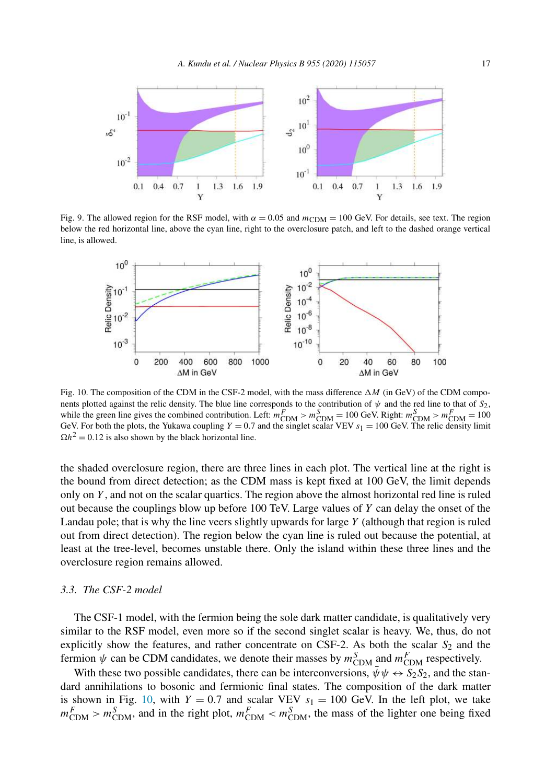

Fig. 9. The allowed region for the RSF model, with  $\alpha = 0.05$  and  $m_{CDM} = 100$  GeV. For details, see text. The region below the red horizontal line, above the cyan line, right to the overclosure patch, and left to the dashed orange vertical line, is allowed.



Fig. 10. The composition of the CDM in the CSF-2 model, with the mass difference  $\Delta M$  (in GeV) of the CDM components plotted against the relic density. The blue line corresponds to the contribution of  $\psi$  and the red line to that of  $S_2$ , while the green line gives the combined contribution. Left:  $m_{\text{CDM}}^F > m_{\text{CDM}}^S = 100 \text{ GeV}$ . Right:  $m_{\text{CDM}}^S > m_{\text{CDM}}^F = 100 \text{ GeV}$ . GeV. For both the plots, the Yukawa coupling  $Y = 0.7$  and the singlet scalar VEV  $s_1 = 100$  GeV. The relic density limit  $\Omega h^2 = 0.12$  is also shown by the black horizontal line.

the shaded overclosure region, there are three lines in each plot. The vertical line at the right is the bound from direct detection; as the CDM mass is kept fixed at 100 GeV, the limit depends only on  $Y$ , and not on the scalar quartics. The region above the almost horizontal red line is ruled out because the couplings blow up before 100 TeV. Large values of  $Y$  can delay the onset of the Landau pole; that is why the line veers slightly upwards for large  $Y$  (although that region is ruled out from direct detection). The region below the cyan line is ruled out because the potential, at least at the tree-level, becomes unstable there. Only the island within these three lines and the overclosure region remains allowed.

#### *3.3. The CSF-2 model*

The CSF-1 model, with the fermion being the sole dark matter candidate, is qualitatively very similar to the RSF model, even more so if the second singlet scalar is heavy. We, thus, do not explicitly show the features, and rather concentrate on CSF-2. As both the scalar  $S_2$  and the fermion  $\psi$  can be CDM candidates, we denote their masses by  $m_{\text{CDM}}^S$  and  $m_{\text{CDM}}^F$  respectively.

With these two possible candidates, there can be interconversions,  $\bar{\psi}\psi \leftrightarrow S_2S_2$ , and the standard annihilations to bosonic and fermionic final states. The composition of the dark matter is shown in Fig. 10, with  $Y = 0.7$  and scalar VEV  $s_1 = 100$  GeV. In the left plot, we take  $m_{\text{CDM}}^F > m_{\text{CDM}}^S$ , and in the right plot,  $m_{\text{CDM}}^F < m_{\text{CDM}}^S$ , the mass of the lighter one being fixed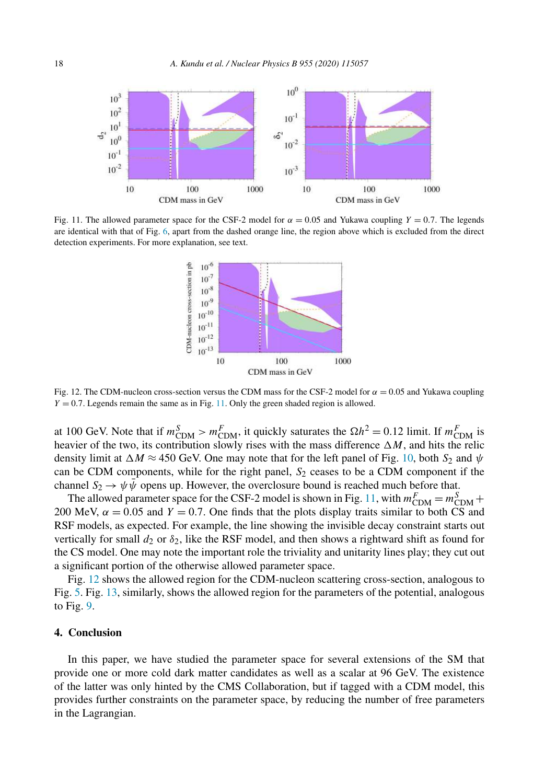

Fig. 11. The allowed parameter space for the CSF-2 model for  $\alpha = 0.05$  and Yukawa coupling  $Y = 0.7$ . The legends are identical with that of Fig. 6, apart from the dashed orange line, the region above which is excluded from the direct detection experiments. For more explanation, see text.



Fig. 12. The CDM-nucleon cross-section versus the CDM mass for the CSF-2 model for  $\alpha = 0.05$  and Yukawa coupling  $Y = 0.7$ . Legends remain the same as in Fig. 11. Only the green shaded region is allowed.

at 100 GeV. Note that if  $m_{\text{CDM}}^S > m_{\text{CDM}}^F$ , it quickly saturates the  $\Omega h^2 = 0.12$  limit. If  $m_{\text{CDM}}^F$  is heavier of the two, its contribution slowly rises with the mass difference  $\Delta M$ , and hits the relic density limit at  $\Delta M \approx 450$  GeV. One may note that for the left panel of Fig. 10, both  $S_2$  and  $\psi$ can be CDM components, while for the right panel,  $S_2$  ceases to be a CDM component if the channel  $S_2 \to \psi \bar{\psi}$  opens up. However, the overclosure bound is reached much before that.

The allowed parameter space for the CSF-2 model is shown in Fig. 11, with  $m_{\text{CDM}}^F = m_{\text{CDM}}^S +$ 200 MeV,  $\alpha = 0.05$  and  $Y = 0.7$ . One finds that the plots display traits similar to both CS and RSF models, as expected. For example, the line showing the invisible decay constraint starts out vertically for small  $d_2$  or  $\delta_2$ , like the RSF model, and then shows a rightward shift as found for the CS model. One may note the important role the triviality and unitarity lines play; they cut out a significant portion of the otherwise allowed parameter space.

Fig. 12 shows the allowed region for the CDM-nucleon scattering cross-section, analogous to Fig. 5. Fig. 13, similarly, shows the allowed region for the parameters of the potential, analogous to Fig. 9.

## **4. Conclusion**

In this paper, we have studied the parameter space for several extensions of the SM that provide one or more cold dark matter candidates as well as a scalar at 96 GeV. The existence of the latter was only hinted by the CMS Collaboration, but if tagged with a CDM model, this provides further constraints on the parameter space, by reducing the number of free parameters in the Lagrangian.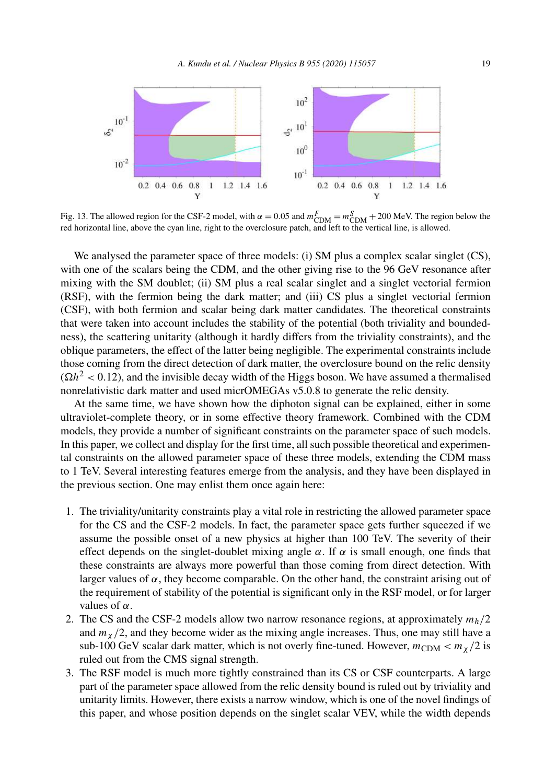

Fig. 13. The allowed region for the CSF-2 model, with  $\alpha = 0.05$  and  $m_{\text{CDM}}^F = m_{\text{CDM}}^S + 200$  MeV. The region below the red horizontal line, above the cyan line, right to the overclosure patch, and left to the vertical line, is allowed.

We analysed the parameter space of three models: (i) SM plus a complex scalar singlet (CS), with one of the scalars being the CDM, and the other giving rise to the 96 GeV resonance after mixing with the SM doublet; (ii) SM plus a real scalar singlet and a singlet vectorial fermion (RSF), with the fermion being the dark matter; and (iii) CS plus a singlet vectorial fermion (CSF), with both fermion and scalar being dark matter candidates. The theoretical constraints that were taken into account includes the stability of the potential (both triviality and boundedness), the scattering unitarity (although it hardly differs from the triviality constraints), and the oblique parameters, the effect of the latter being negligible. The experimental constraints include those coming from the direct detection of dark matter, the overclosure bound on the relic density  $(\Omega h^2 < 0.12)$ , and the invisible decay width of the Higgs boson. We have assumed a thermalised nonrelativistic dark matter and used micrOMEGAs v5.0.8 to generate the relic density.

At the same time, we have shown how the diphoton signal can be explained, either in some ultraviolet-complete theory, or in some effective theory framework. Combined with the CDM models, they provide a number of significant constraints on the parameter space of such models. In this paper, we collect and display for the first time, all such possible theoretical and experimental constraints on the allowed parameter space of these three models, extending the CDM mass to 1 TeV. Several interesting features emerge from the analysis, and they have been displayed in the previous section. One may enlist them once again here:

- 1. The triviality/unitarity constraints play a vital role in restricting the allowed parameter space for the CS and the CSF-2 models. In fact, the parameter space gets further squeezed if we assume the possible onset of a new physics at higher than 100 TeV. The severity of their effect depends on the singlet-doublet mixing angle  $\alpha$ . If  $\alpha$  is small enough, one finds that these constraints are always more powerful than those coming from direct detection. With larger values of  $\alpha$ , they become comparable. On the other hand, the constraint arising out of the requirement of stability of the potential is significant only in the RSF model, or for larger values of  $\alpha$ .
- 2. The CS and the CSF-2 models allow two narrow resonance regions, at approximately  $m_h/2$ and  $m<sub>x</sub>/2$ , and they become wider as the mixing angle increases. Thus, one may still have a sub-100 GeV scalar dark matter, which is not overly fine-tuned. However,  $m_{CDM} < m_{\gamma}/2$  is ruled out from the CMS signal strength.
- 3. The RSF model is much more tightly constrained than its CS or CSF counterparts. A large part of the parameter space allowed from the relic density bound is ruled out by triviality and unitarity limits. However, there exists a narrow window, which is one of the novel findings of this paper, and whose position depends on the singlet scalar VEV, while the width depends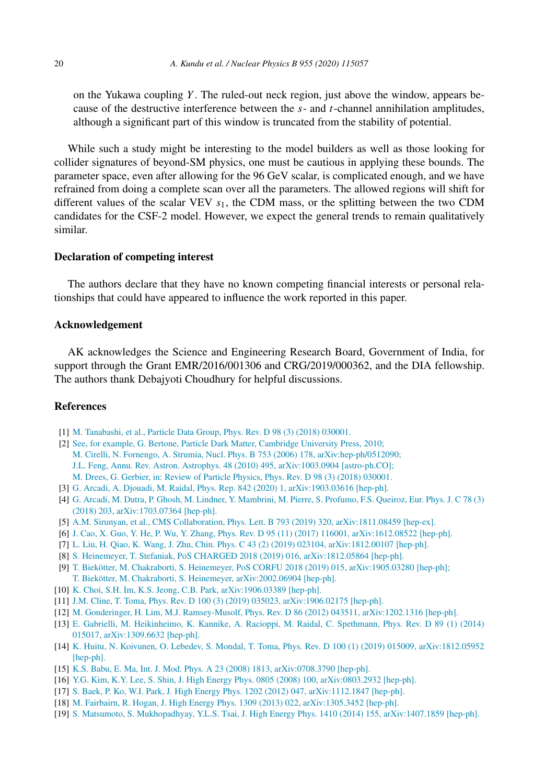on the Yukawa coupling  $Y$ . The ruled-out neck region, just above the window, appears because of the destructive interference between the  $s$ - and  $t$ -channel annihilation amplitudes, although a significant part of this window is truncated from the stability of potential.

While such a study might be interesting to the model builders as well as those looking for collider signatures of beyond-SM physics, one must be cautious in applying these bounds. The parameter space, even after allowing for the 96 GeV scalar, is complicated enough, and we have refrained from doing a complete scan over all the parameters. The allowed regions will shift for different values of the scalar VEV  $s<sub>1</sub>$ , the CDM mass, or the splitting between the two CDM candidates for the CSF-2 model. However, we expect the general trends to remain qualitatively similar.

#### **Declaration of competing interest**

The authors declare that they have no known competing financial interests or personal relationships that could have appeared to influence the work reported in this paper.

#### **Acknowledgement**

AK acknowledges the Science and Engineering Research Board, Government of India, for support through the Grant EMR/2016/001306 and CRG/2019/000362, and the DIA fellowship. The authors thank Debajyoti Choudhury for helpful discussions.

## **References**

- [1] M. Tanabashi, et al., Particle Data Group, Phys. Rev. D 98 (3) (2018) 030001.
- [2] See, for example, G. Bertone, Particle Dark Matter, Cambridge University Press, 2010; M. Cirelli, N. Fornengo, A. Strumia, Nucl. Phys. B 753 (2006) 178, arXiv:hep-ph/0512090; J.L. Feng, Annu. Rev. Astron. Astrophys. 48 (2010) 495, arXiv:1003.0904 [astro-ph.CO]; M. Drees, G. Gerbier, in: Review of Particle Physics, Phys. Rev. D 98 (3) (2018) 030001.
- [3] G. Arcadi, A. Djouadi, M. Raidal, Phys. Rep. 842 (2020) 1, arXiv:1903.03616 [hep-ph].
- [4] G. Arcadi, M. Dutra, P. Ghosh, M. Lindner, Y. Mambrini, M. Pierre, S. Profumo, F.S. Queiroz, Eur. Phys. J. C 78 (3) (2018) 203, arXiv:1703.07364 [hep-ph].
- [5] A.M. Sirunyan, et al., CMS Collaboration, Phys. Lett. B 793 (2019) 320, arXiv:1811.08459 [hep-ex].
- [6] J. Cao, X. Guo, Y. He, P. Wu, Y. Zhang, Phys. Rev. D 95 (11) (2017) 116001, arXiv:1612.08522 [hep-ph].
- [7] L. Liu, H. Qiao, K. Wang, J. Zhu, Chin. Phys. C 43 (2) (2019) 023104, arXiv:1812.00107 [hep-ph].
- [8] S. Heinemeyer, T. Stefaniak, PoS CHARGED 2018 (2019) 016, arXiv:1812.05864 [hep-ph].
- [9] T. Biekötter, M. Chakraborti, S. Heinemeyer, PoS CORFU 2018 (2019) 015, arXiv:1905.03280 [hep-ph]; T. Biekötter, M. Chakraborti, S. Heinemeyer, arXiv:2002.06904 [hep-ph].
- [10] K. Choi, S.H. Im, K.S. Jeong, C.B. Park, arXiv:1906.03389 [hep-ph].
- [11] J.M. Cline, T. Toma, Phys. Rev. D 100 (3) (2019) 035023, arXiv:1906.02175 [hep-ph].
- [12] M. Gonderinger, H. Lim, M.J. Ramsey-Musolf, Phys. Rev. D 86 (2012) 043511, arXiv:1202.1316 [hep-ph].
- [13] E. Gabrielli, M. Heikinheimo, K. Kannike, A. Racioppi, M. Raidal, C. Spethmann, Phys. Rev. D 89 (1) (2014) 015017, arXiv:1309.6632 [hep-ph].
- [14] K. Huitu, N. Koivunen, O. Lebedev, S. Mondal, T. Toma, Phys. Rev. D 100 (1) (2019) 015009, arXiv:1812.05952 [hep-ph].
- [15] K.S. Babu, E. Ma, Int. J. Mod. Phys. A 23 (2008) 1813, arXiv:0708.3790 [hep-ph].
- [16] Y.G. Kim, K.Y. Lee, S. Shin, J. High Energy Phys. 0805 (2008) 100, arXiv:0803.2932 [hep-ph].
- [17] S. Baek, P. Ko, W.I. Park, J. High Energy Phys. 1202 (2012) 047, arXiv:1112.1847 [hep-ph].
- [18] M. Fairbairn, R. Hogan, J. High Energy Phys. 1309 (2013) 022, arXiv:1305.3452 [hep-ph].
- [19] S. Matsumoto, S. Mukhopadhyay, Y.L.S. Tsai, J. High Energy Phys. 1410 (2014) 155, arXiv:1407.1859 [hep-ph].